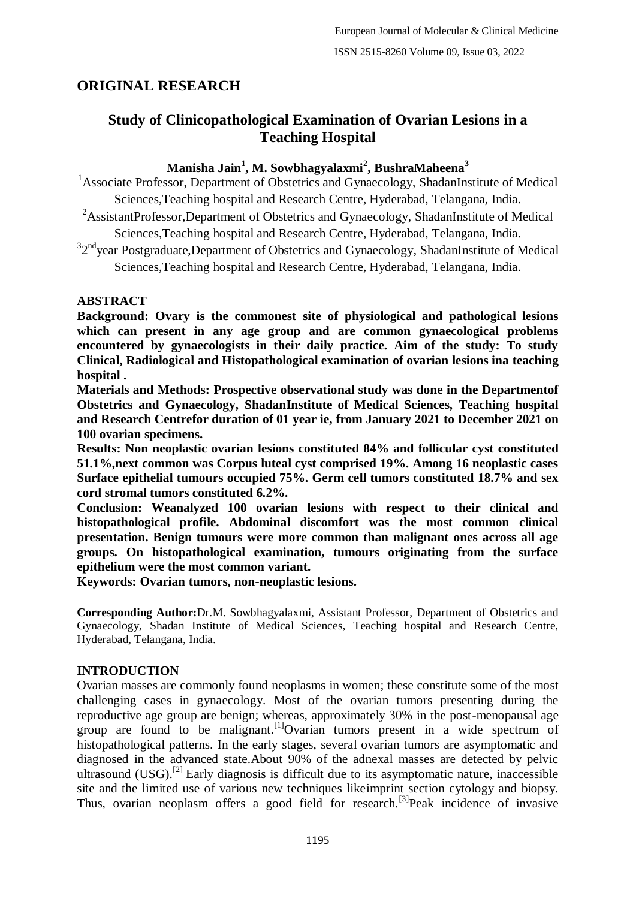# **ORIGINAL RESEARCH**

## **Study of Clinicopathological Examination of Ovarian Lesions in a Teaching Hospital**

## **Manisha Jain<sup>1</sup> , M. Sowbhagyalaxmi<sup>2</sup> , BushraMaheena<sup>3</sup>**

<sup>1</sup>Associate Professor, Department of Obstetrics and Gynaecology, ShadanInstitute of Medical Sciences,Teaching hospital and Research Centre, Hyderabad, Telangana, India.

<sup>2</sup>AssistantProfessor,Department of Obstetrics and Gynaecology, ShadanInstitute of Medical Sciences,Teaching hospital and Research Centre, Hyderabad, Telangana, India.

 $32<sup>nd</sup>$ year Postgraduate,Department of Obstetrics and Gynaecology, ShadanInstitute of Medical Sciences,Teaching hospital and Research Centre, Hyderabad, Telangana, India.

## **ABSTRACT**

**Background: Ovary is the commonest site of physiological and pathological lesions which can present in any age group and are common gynaecological problems encountered by gynaecologists in their daily practice. Aim of the study: To study Clinical, Radiological and Histopathological examination of ovarian lesions ina teaching hospital .**

**Materials and Methods: Prospective observational study was done in the Departmentof Obstetrics and Gynaecology, ShadanInstitute of Medical Sciences, Teaching hospital and Research Centrefor duration of 01 year ie, from January 2021 to December 2021 on 100 ovarian specimens.**

**Results: Non neoplastic ovarian lesions constituted 84% and follicular cyst constituted 51.1%,next common was Corpus luteal cyst comprised 19%. Among 16 neoplastic cases Surface epithelial tumours occupied 75%. Germ cell tumors constituted 18.7% and sex cord stromal tumors constituted 6.2%.**

**Conclusion: Weanalyzed 100 ovarian lesions with respect to their clinical and histopathological profile. Abdominal discomfort was the most common clinical presentation. Benign tumours were more common than malignant ones across all age groups. On histopathological examination, tumours originating from the surface epithelium were the most common variant.**

**Keywords: Ovarian tumors, non-neoplastic lesions.**

**Corresponding Author:**Dr.M. Sowbhagyalaxmi, Assistant Professor, Department of Obstetrics and Gynaecology, Shadan Institute of Medical Sciences, Teaching hospital and Research Centre, Hyderabad, Telangana, India.

## **INTRODUCTION**

Ovarian masses are commonly found neoplasms in women; these constitute some of the most challenging cases in gynaecology. Most of the ovarian tumors presenting during the reproductive age group are benign; whereas, approximately 30% in the post-menopausal age group are found to be malignant.<sup>[1]</sup>Ovarian tumors present in a wide spectrum of histopathological patterns. In the early stages, several ovarian tumors are asymptomatic and diagnosed in the advanced state.About 90% of the adnexal masses are detected by pelvic ultrasound  $(USG)$ .<sup>[2]</sup> Early diagnosis is difficult due to its asymptomatic nature, inaccessible site and the limited use of various new techniques likeimprint section cytology and biopsy. Thus, ovarian neoplasm offers a good field for research.<sup>[3]</sup>Peak incidence of invasive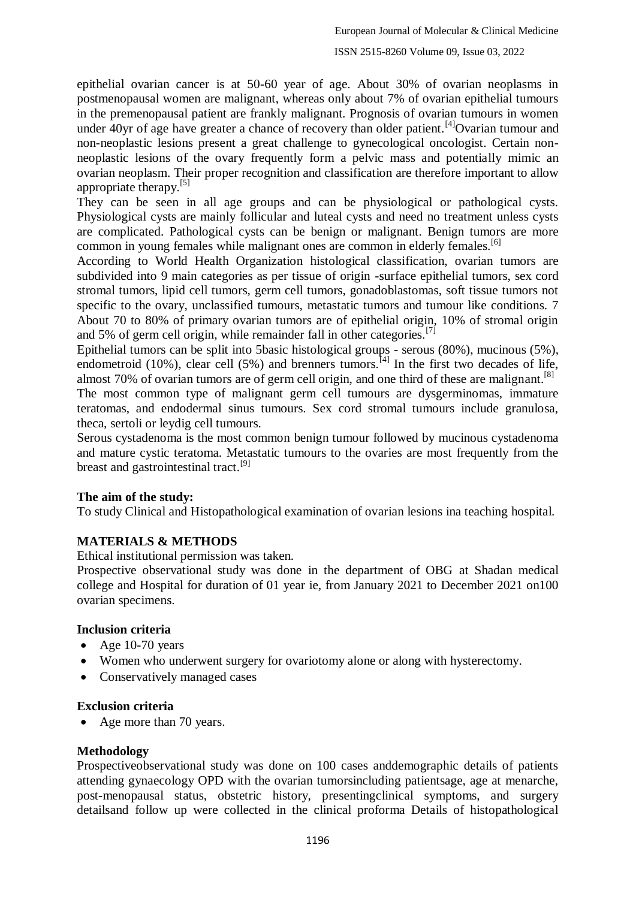epithelial ovarian cancer is at 50-60 year of age. About 30% of ovarian neoplasms in postmenopausal women are malignant, whereas only about 7% of ovarian epithelial tumours in the premenopausal patient are frankly malignant. Prognosis of ovarian tumours in women under 40yr of age have greater a chance of recovery than older patient.<sup>[4]</sup>Ovarian tumour and non-neoplastic lesions present a great challenge to gynecological oncologist. Certain nonneoplastic lesions of the ovary frequently form a pelvic mass and potentially mimic an ovarian neoplasm. Their proper recognition and classification are therefore important to allow appropriate therapy.<sup>[5]</sup>

They can be seen in all age groups and can be physiological or pathological cysts. Physiological cysts are mainly follicular and luteal cysts and need no treatment unless cysts are complicated. Pathological cysts can be benign or malignant. Benign tumors are more common in young females while malignant ones are common in elderly females.<sup>[6]</sup>

According to World Health Organization histological classification, ovarian tumors are subdivided into 9 main categories as per tissue of origin -surface epithelial tumors, sex cord stromal tumors, lipid cell tumors, germ cell tumors, gonadoblastomas, soft tissue tumors not specific to the ovary, unclassified tumours, metastatic tumors and tumour like conditions. 7 About 70 to 80% of primary ovarian tumors are of epithelial origin, 10% of stromal origin and 5% of germ cell origin, while remainder fall in other categories.<sup>[7]</sup>

Epithelial tumors can be split into 5basic histological groups - serous (80%), mucinous (5%), endometroid (10%), clear cell (5%) and brenners tumors.<sup>[4]</sup> In the first two decades of life, almost 70% of ovarian tumors are of germ cell origin, and one third of these are malignant.<sup>[8]</sup>

The most common type of malignant germ cell tumours are dysgerminomas, immature teratomas, and endodermal sinus tumours. Sex cord stromal tumours include granulosa, theca, sertoli or leydig cell tumours.

Serous cystadenoma is the most common benign tumour followed by mucinous cystadenoma and mature cystic teratoma. Metastatic tumours to the ovaries are most frequently from the breast and gastrointestinal tract.<sup>[9]</sup>

#### **The aim of the study:**

To study Clinical and Histopathological examination of ovarian lesions ina teaching hospital.

## **MATERIALS & METHODS**

Ethical institutional permission was taken.

Prospective observational study was done in the department of OBG at Shadan medical college and Hospital for duration of 01 year ie, from January 2021 to December 2021 on100 ovarian specimens.

#### **Inclusion criteria**

- Age  $10-70$  years
- Women who underwent surgery for ovariotomy alone or along with hysterectomy.
- Conservatively managed cases

#### **Exclusion criteria**

• Age more than 70 years.

#### **Methodology**

Prospectiveobservational study was done on 100 cases anddemographic details of patients attending gynaecology OPD with the ovarian tumorsincluding patientsage, age at menarche, post-menopausal status, obstetric history, presentingclinical symptoms, and surgery detailsand follow up were collected in the clinical proforma Details of histopathological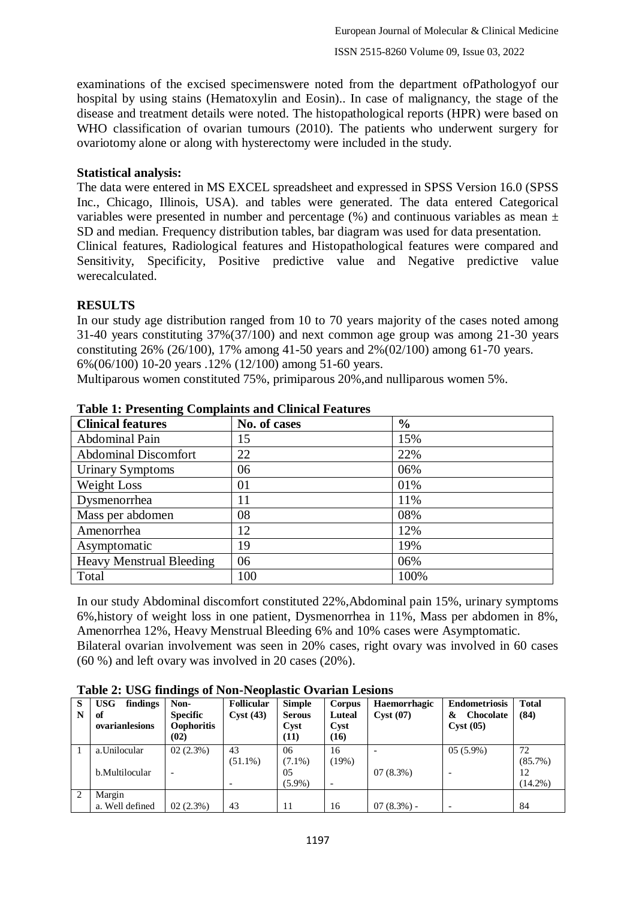examinations of the excised specimenswere noted from the department ofPathologyof our hospital by using stains (Hematoxylin and Eosin).. In case of malignancy, the stage of the disease and treatment details were noted. The histopathological reports (HPR) were based on WHO classification of ovarian tumours (2010). The patients who underwent surgery for ovariotomy alone or along with hysterectomy were included in the study.

#### **Statistical analysis:**

The data were entered in MS EXCEL spreadsheet and expressed in SPSS Version 16.0 (SPSS Inc., Chicago, Illinois, USA). and tables were generated. The data entered Categorical variables were presented in number and percentage  $(\%)$  and continuous variables as mean  $\pm$ SD and median. Frequency distribution tables, bar diagram was used for data presentation. Clinical features, Radiological features and Histopathological features were compared and Sensitivity, Specificity, Positive predictive value and Negative predictive value werecalculated.

#### **RESULTS**

In our study age distribution ranged from 10 to 70 years majority of the cases noted among 31-40 years constituting 37%(37/100) and next common age group was among 21-30 years constituting 26% (26/100), 17% among 41-50 years and 2%(02/100) among 61-70 years. 6%(06/100) 10-20 years .12% (12/100) among 51-60 years.

Multiparous women constituted 75%, primiparous 20%, and nulliparous women 5%.

| <b>Clinical features</b>        | No. of cases | $\frac{6}{6}$ |
|---------------------------------|--------------|---------------|
| <b>Abdominal Pain</b>           | 15           | 15%           |
| <b>Abdominal Discomfort</b>     | 22           | 22%           |
| <b>Urinary Symptoms</b>         | 06           | 06%           |
| Weight Loss                     | 01           | 01%           |
| Dysmenorrhea                    | 11           | 11%           |
| Mass per abdomen                | 08           | 08%           |
| Amenorrhea                      | 12           | 12%           |
| Asymptomatic                    | 19           | 19%           |
| <b>Heavy Menstrual Bleeding</b> | 06           | 06%           |
| Total                           | 100          | 100%          |

**Table 1: Presenting Complaints and Clinical Features**

In our study Abdominal discomfort constituted 22%,Abdominal pain 15%, urinary symptoms 6%,history of weight loss in one patient, Dysmenorrhea in 11%, Mass per abdomen in 8%, Amenorrhea 12%, Heavy Menstrual Bleeding 6% and 10% cases were Asymptomatic. Bilateral ovarian involvement was seen in 20% cases, right ovary was involved in 60 cases (60 %) and left ovary was involved in 20 cases (20%).

| Table 2: USG findings of Non-Neoplastic Ovarian Lesions |  |
|---------------------------------------------------------|--|
|---------------------------------------------------------|--|

| S              | <b>USG</b><br>findings | Non-              | <b>Follicular</b> | <b>Simple</b> | Corpus                   | <b>Haemorrhagic</b> | <b>Endometriosis</b>     | <b>Total</b> |
|----------------|------------------------|-------------------|-------------------|---------------|--------------------------|---------------------|--------------------------|--------------|
| N              | of                     | <b>Specific</b>   | Cyst(43)          | <b>Serous</b> | Luteal                   | $\text{Cyst} (07)$  | <b>Chocolate</b><br>&    | (84)         |
|                | ovarianlesions         | <b>Oophoritis</b> |                   | Cyst          | $\mathbf{C}$ yst         |                     | Cyst(05)                 |              |
|                |                        | (02)              |                   | (11)          | (16)                     |                     |                          |              |
|                | a.Unilocular           | 02(2.3%)          | 43                | 06            | 16                       |                     | $05(5.9\%)$              | 72           |
|                |                        |                   | $(51.1\%)$        | $(7.1\%)$     | (19%)                    |                     |                          | $(85.7\%)$   |
|                | b.Multilocular         | ۰                 |                   | 05            |                          | $07(8.3\%)$         |                          | 12           |
|                |                        |                   |                   | $(5.9\%)$     | $\overline{\phantom{a}}$ |                     |                          | $(14.2\%)$   |
| $\overline{2}$ | Margin                 |                   |                   |               |                          |                     |                          |              |
|                | a. Well defined        | 02(2.3%)          | 43                | 11            | 16                       | $07(8.3\%)$ -       | $\overline{\phantom{0}}$ | 84           |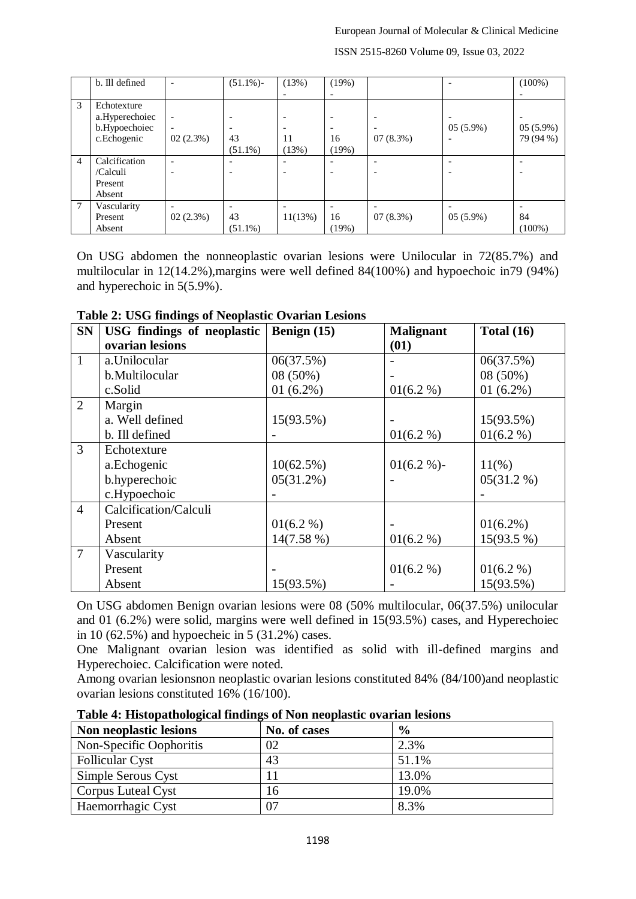- 05 (5.9%)

- 84 (100%)

|                | b. Ill defined |                          | $(51.1\%)$ | (13%)   | (19%)                    |                          |             | (100%)      |
|----------------|----------------|--------------------------|------------|---------|--------------------------|--------------------------|-------------|-------------|
|                |                |                          |            |         | $\overline{\phantom{a}}$ |                          |             |             |
| 3              | Echotexture    |                          |            |         |                          |                          |             |             |
|                | a.Hyperechoiec | $\overline{\phantom{a}}$ |            |         |                          |                          |             |             |
|                | b.Hypoechoiec  | $\overline{\phantom{a}}$ |            |         |                          | $\overline{\phantom{0}}$ | $05(5.9\%)$ | $05(5.9\%)$ |
|                | c.Echogenic    | 02(2.3%)                 | 43         | 11      | 16                       | 07(8.3%)                 |             | 79 (94 %)   |
|                |                |                          | $(51.1\%)$ | $13\%)$ | (19%)                    |                          |             |             |
| $\overline{4}$ | Calcification  | -                        |            |         |                          |                          |             |             |
|                | /Calculi       |                          |            |         |                          |                          |             |             |
|                | Present        |                          |            |         |                          |                          |             |             |
|                | Absent         |                          |            |         |                          |                          |             |             |

- 16 (19%) - 07 (8.3%)

ISSN 2515-8260 Volume 09, Issue 03, 2022

On USG abdomen the nonneoplastic ovarian lesions were Unilocular in 72(85.7%) and multilocular in 12(14.2%),margins were well defined 84(100%) and hypoechoic in79 (94%) and hyperechoic in 5(5.9%).

- 11(13%)

| <b>SN</b>      | . <b>.</b><br>USG findings of neoplastic | Benign $(15)$ | <b>Malignant</b> | Total $(16)$ |
|----------------|------------------------------------------|---------------|------------------|--------------|
|                | ovarian lesions                          |               | (01)             |              |
| 1              | a.Unilocular                             | 06(37.5%)     |                  | 06(37.5%)    |
|                | b.Multilocular                           | $08(50\%)$    |                  | 08 (50%)     |
|                | c.Solid                                  | $01(6.2\%)$   | $01(6.2\%)$      | $01(6.2\%)$  |
| 2              | Margin                                   |               |                  |              |
|                | a. Well defined                          | 15(93.5%)     |                  | 15(93.5%)    |
|                | b. Ill defined                           |               | $01(6.2\%)$      | $01(6.2\%)$  |
| $\overline{3}$ | Echotexture                              |               |                  |              |
|                | a.Echogenic                              | 10(62.5%)     | $01(6.2\%)$      | $11(\%)$     |
|                | b.hyperechoic                            | 05(31.2%)     |                  | $05(31.2\%)$ |
|                | c.Hypoechoic                             |               |                  |              |
| $\overline{4}$ | Calcification/Calculi                    |               |                  |              |
|                | Present                                  | $01(6.2\%)$   |                  | $01(6.2\%)$  |
|                | Absent                                   | $14(7.58\%)$  | $01(6.2\%)$      | $15(93.5\%)$ |
| $\overline{7}$ | Vascularity                              |               |                  |              |
|                | Present                                  |               | $01(6.2\%)$      | $01(6.2\%)$  |
|                | Absent                                   | 15(93.5%)     |                  | 15(93.5%)    |

|  |  | Table 2: USG findings of Neoplastic Ovarian Lesions |  |  |  |  |
|--|--|-----------------------------------------------------|--|--|--|--|
|--|--|-----------------------------------------------------|--|--|--|--|

- 43 (51.1%)

7 Vascularity Present Absent

-

02 (2.3%)

On USG abdomen Benign ovarian lesions were 08 (50% multilocular, 06(37.5%) unilocular and 01 (6.2%) were solid, margins were well defined in 15(93.5%) cases, and Hyperechoiec in 10 (62.5%) and hypoecheic in 5 (31.2%) cases.

One Malignant ovarian lesion was identified as solid with ill-defined margins and Hyperechoiec. Calcification were noted.

Among ovarian lesionsnon neoplastic ovarian lesions constituted 84% (84/100)and neoplastic ovarian lesions constituted 16% (16/100).

|  | Table 4: Histopathological findings of Non neoplastic ovarian lesions |  |  |  |
|--|-----------------------------------------------------------------------|--|--|--|

| Non neoplastic lesions  | No. of cases | $\frac{0}{0}$ |
|-------------------------|--------------|---------------|
| Non-Specific Oophoritis | 02           | 2.3%          |
| <b>Follicular Cyst</b>  | 43           | 51.1%         |
| Simple Serous Cyst      |              | 13.0%         |
| Corpus Luteal Cyst      | .6           | 19.0%         |
| Haemorrhagic Cyst       | 07           | 8.3%          |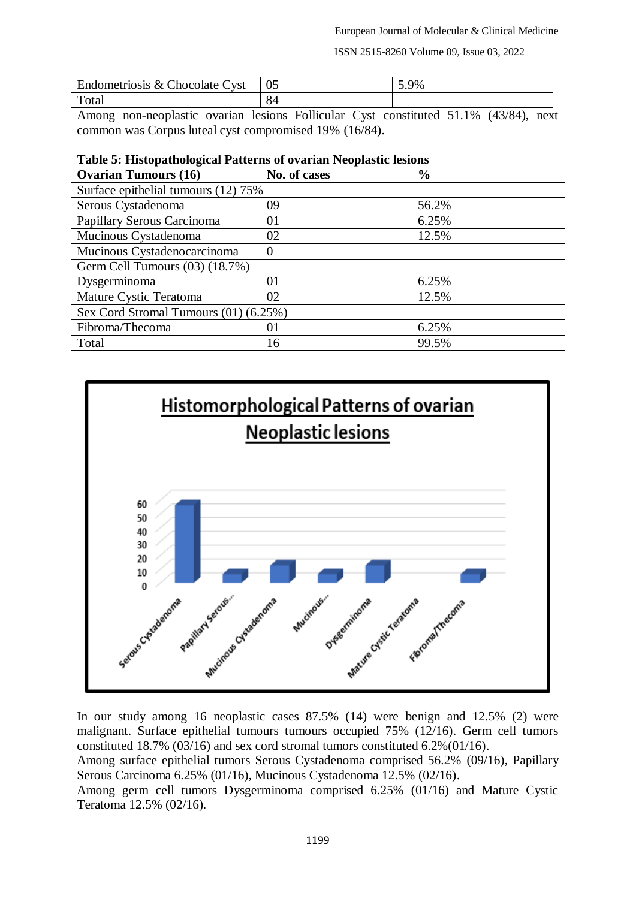ISSN 2515-8260 Volume 09, Issue 03, 2022

| Endometriosis & C<br>`vst<br>chocolate ( | 0 <sup>5</sup> | $5.9\%$ |
|------------------------------------------|----------------|---------|
| <u>тп</u><br>'otal                       | ОĦ             |         |

Among non-neoplastic ovarian lesions Follicular Cyst constituted 51.1% (43/84), next common was Corpus luteal cyst compromised 19% (16/84).

| <b>Table 5: Histopathological Patterns of ovarian Neoplastic lesions</b> |
|--------------------------------------------------------------------------|
|--------------------------------------------------------------------------|

| <b>Ovarian Tumours (16)</b>           | No. of cases | $\frac{0}{0}$ |  |  |
|---------------------------------------|--------------|---------------|--|--|
| Surface epithelial tumours (12) 75%   |              |               |  |  |
| Serous Cystadenoma                    | 09           | 56.2%         |  |  |
| Papillary Serous Carcinoma            | 01           | 6.25%         |  |  |
| Mucinous Cystadenoma                  | 02           | 12.5%         |  |  |
| Mucinous Cystadenocarcinoma           | 0            |               |  |  |
| Germ Cell Tumours (03) (18.7%)        |              |               |  |  |
| Dysgerminoma                          | 01           | 6.25%         |  |  |
| Mature Cystic Teratoma                | 02           | 12.5%         |  |  |
| Sex Cord Stromal Tumours (01) (6.25%) |              |               |  |  |
| Fibroma/Thecoma                       | 01           | 6.25%         |  |  |
| Total                                 | 16           | 99.5%         |  |  |



In our study among 16 neoplastic cases 87.5% (14) were benign and 12.5% (2) were malignant. Surface epithelial tumours tumours occupied 75% (12/16). Germ cell tumors constituted 18.7% (03/16) and sex cord stromal tumors constituted 6.2%(01/16).

Among surface epithelial tumors Serous Cystadenoma comprised 56.2% (09/16), Papillary Serous Carcinoma 6.25% (01/16), Mucinous Cystadenoma 12.5% (02/16).

Among germ cell tumors Dysgerminoma comprised 6.25% (01/16) and Mature Cystic Teratoma 12.5% (02/16).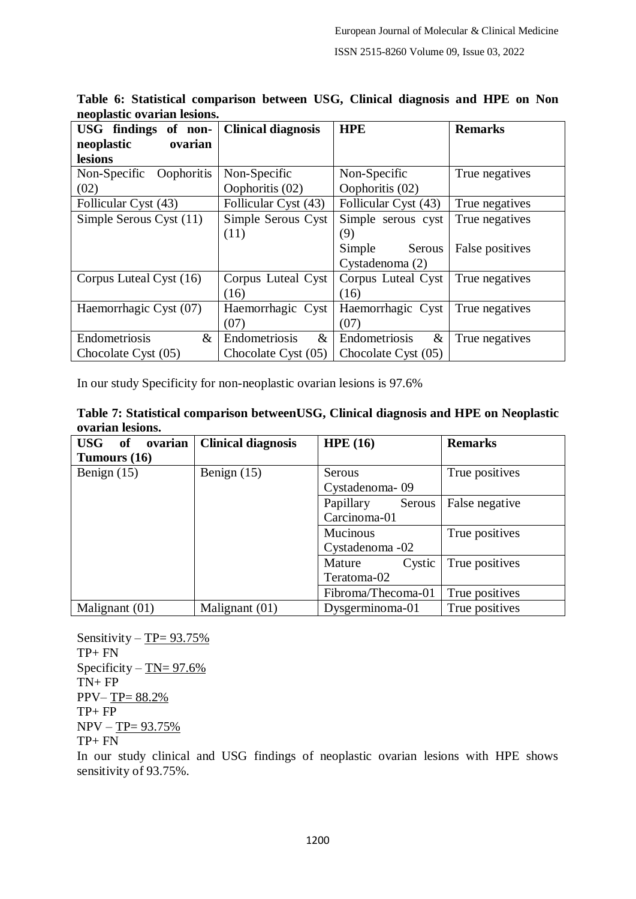| USG findings of non-    | <b>Clinical diagnosis</b> | <b>HPE</b>           | <b>Remarks</b>  |
|-------------------------|---------------------------|----------------------|-----------------|
| neoplastic<br>ovarian   |                           |                      |                 |
| lesions                 |                           |                      |                 |
| Non-Specific Oophoritis | Non-Specific              | Non-Specific         | True negatives  |
| (02)                    | Oophoritis (02)           | Oophoritis (02)      |                 |
| Follicular Cyst (43)    | Follicular Cyst (43)      | Follicular Cyst (43) | True negatives  |
| Simple Serous Cyst (11) | Simple Serous Cyst        | Simple serous cyst   | True negatives  |
|                         | (11)                      | (9)                  |                 |
|                         |                           | Simple<br>Serous     | False positives |
|                         |                           | Cystadenoma (2)      |                 |
| Corpus Luteal Cyst (16) | Corpus Luteal Cyst        | Corpus Luteal Cyst   | True negatives  |
|                         | (16)                      | (16)                 |                 |
| Haemorrhagic Cyst (07)  | Haemorrhagic Cyst         | Haemorrhagic Cyst    | True negatives  |
|                         | (07)                      | (07)                 |                 |
| Endometriosis<br>$\&$   | Endometriosis<br>$\&$     | Endometriosis<br>&   | True negatives  |
| Chocolate Cyst $(05)$   | Chocolate Cyst $(05)$     | Chocolate Cyst (05)  |                 |

**Table 6: Statistical comparison between USG, Clinical diagnosis and HPE on Non neoplastic ovarian lesions.**

In our study Specificity for non-neoplastic ovarian lesions is 97.6%

**Table 7: Statistical comparison betweenUSG, Clinical diagnosis and HPE on Neoplastic ovarian lesions.**

| <b>USG</b><br>ovarian<br>of | <b>Clinical diagnosis</b> | HPE $(16)$                        | <b>Remarks</b> |  |
|-----------------------------|---------------------------|-----------------------------------|----------------|--|
| Tumours (16)                |                           |                                   |                |  |
| Benign $(15)$               | Benign $(15)$             | Serous                            | True positives |  |
|                             |                           | Cystadenoma-09                    |                |  |
|                             |                           | Papillary<br>Serous               | False negative |  |
|                             |                           | Carcinoma-01                      |                |  |
|                             |                           | Mucinous                          | True positives |  |
|                             |                           | Cystadenoma -02                   |                |  |
|                             |                           | Cystic<br>Mature                  | True positives |  |
|                             |                           | Teratoma-02                       |                |  |
|                             |                           | Fibroma/Thecoma-01                | True positives |  |
| Malignant $(01)$            | Malignant $(01)$          | True positives<br>Dysgerminoma-01 |                |  |

Sensitivity –  $TP = 93.75\%$ TP+ FN Specificity –  $TN = 97.6%$ TN+ FP PPV– TP= 88.2% TP+ FP NPV – TP= 93.75% TP+ FN

In our study clinical and USG findings of neoplastic ovarian lesions with HPE shows sensitivity of 93.75%.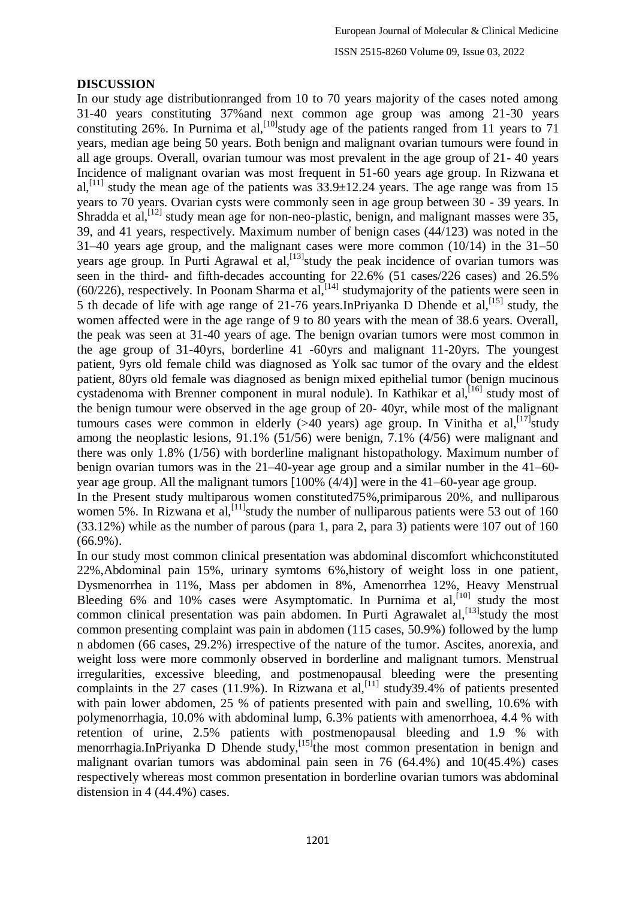#### **DISCUSSION**

(66.9%).

In our study age distributionranged from 10 to 70 years majority of the cases noted among 31-40 years constituting 37%and next common age group was among 21-30 years constituting 26%. In Purnima et al,  $^{[10]}$ study age of the patients ranged from 11 years to 71 years, median age being 50 years. Both benign and malignant ovarian tumours were found in all age groups. Overall, ovarian tumour was most prevalent in the age group of 21- 40 years Incidence of malignant ovarian was most frequent in 51-60 years age group. In Rizwana et al,<sup>[11]</sup> study the mean age of the patients was  $33.9 \pm 12.24$  years. The age range was from 15 years to 70 years. Ovarian cysts were commonly seen in age group between 30 - 39 years. In Shradda et al,  $^{[12]}$  study mean age for non-neo-plastic, benign, and malignant masses were 35, 39, and 41 years, respectively. Maximum number of benign cases (44/123) was noted in the 31–40 years age group, and the malignant cases were more common (10/14) in the 31–50 years age group. In Purti Agrawal et al,<sup>[13]</sup>study the peak incidence of ovarian tumors was seen in the third- and fifth-decades accounting for 22.6% (51 cases/226 cases) and 26.5%  $(60/226)$ , respectively. In Poonam Sharma et al, <sup>[14]</sup> studymajority of the patients were seen in 5 th decade of life with age range of 21-76 years.InPriyanka D Dhende et al,<sup>[15]</sup> study, the women affected were in the age range of 9 to 80 years with the mean of 38.6 years. Overall, the peak was seen at 31-40 years of age. The benign ovarian tumors were most common in the age group of 31-40yrs, borderline 41 -60yrs and malignant 11-20yrs. The youngest patient, 9yrs old female child was diagnosed as Yolk sac tumor of the ovary and the eldest patient, 80yrs old female was diagnosed as benign mixed epithelial tumor (benign mucinous cystadenoma with Brenner component in mural nodule). In Kathikar et al, [16] study most of the benign tumour were observed in the age group of 20- 40yr, while most of the malignant tumours cases were common in elderly  $($ >40 years) age group. In Vinitha et al,<sup>[17]</sup>study among the neoplastic lesions, 91.1% (51/56) were benign, 7.1% (4/56) were malignant and there was only 1.8% (1/56) with borderline malignant histopathology. Maximum number of benign ovarian tumors was in the 21–40-year age group and a similar number in the 41–60 year age group. All the malignant tumors [100% (4/4)] were in the 41–60-year age group. In the Present study multiparous women constituted75%,primiparous 20%, and nulliparous women 5%. In Rizwana et al,<sup>[11]</sup>study the number of nulliparous patients were 53 out of 160 (33.12%) while as the number of parous (para 1, para 2, para 3) patients were 107 out of 160

In our study most common clinical presentation was abdominal discomfort whichconstituted 22%,Abdominal pain 15%, urinary symtoms 6%,history of weight loss in one patient, Dysmenorrhea in 11%, Mass per abdomen in 8%, Amenorrhea 12%, Heavy Menstrual Bleeding 6% and 10% cases were Asymptomatic. In Purnima et al,  $[10]$  study the most common clinical presentation was pain abdomen. In Purti Agrawalet al,<sup>[13]</sup>study the most common presenting complaint was pain in abdomen (115 cases, 50.9%) followed by the lump n abdomen (66 cases, 29.2%) irrespective of the nature of the tumor. Ascites, anorexia, and weight loss were more commonly observed in borderline and malignant tumors. Menstrual irregularities, excessive bleeding, and postmenopausal bleeding were the presenting complaints in the 27 cases (11.9%). In Rizwana et al, [11] study39.4% of patients presented with pain lower abdomen, 25 % of patients presented with pain and swelling, 10.6% with polymenorrhagia, 10.0% with abdominal lump, 6.3% patients with amenorrhoea, 4.4 % with retention of urine, 2.5% patients with postmenopausal bleeding and 1.9 % with menorrhagia.InPriyanka D Dhende study,<sup>[15]</sup>the most common presentation in benign and malignant ovarian tumors was abdominal pain seen in 76 (64.4%) and 10(45.4%) cases respectively whereas most common presentation in borderline ovarian tumors was abdominal distension in 4 (44.4%) cases.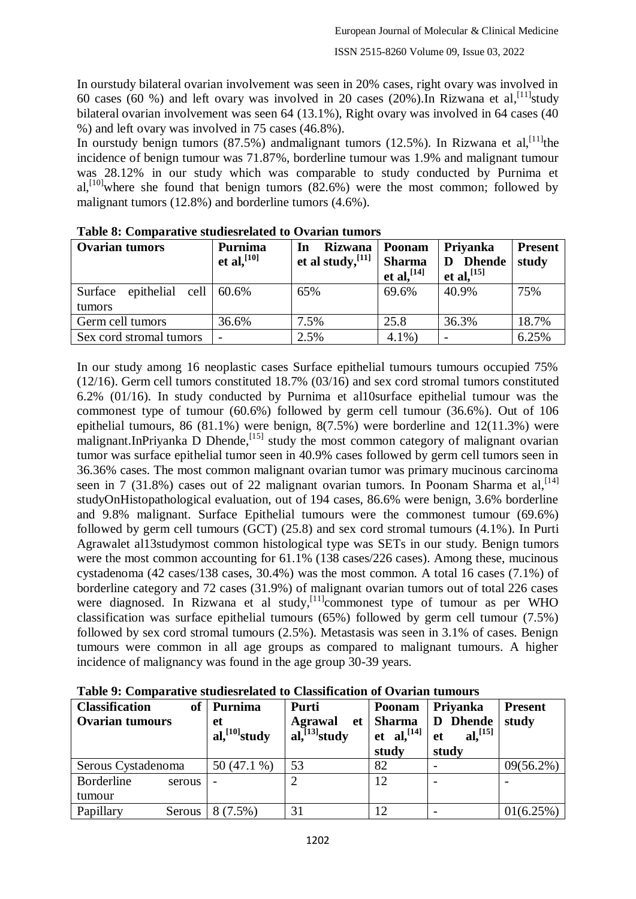In ourstudy bilateral ovarian involvement was seen in 20% cases, right ovary was involved in 60 cases (60 %) and left ovary was involved in 20 cases (20%). In Rizwana et al, [11] study bilateral ovarian involvement was seen 64 (13.1%), Right ovary was involved in 64 cases (40 %) and left ovary was involved in 75 cases (46.8%).

In ourstudy benign tumors  $(87.5%)$  andmalignant tumors  $(12.5%)$ . In Rizwana et al,<sup>[11]</sup>the incidence of benign tumour was 71.87%, borderline tumour was 1.9% and malignant tumour was 28.12% in our study which was comparable to study conducted by Purnima et al,<sup>[10]</sup>where she found that benign tumors  $(82.6%)$  were the most common; followed by malignant tumors (12.8%) and borderline tumors (4.6%).

| <b>Ovarian tumors</b>                    | Purnima<br>et al, $^{[10]}$ | <b>Rizwana</b><br>In<br>et al study, $^{[11]}$ | <b>Poonam</b><br><b>Sharma</b><br>et al, $^{[14]}$ | Priyanka<br><b>Dhende</b><br>D<br>et al, $^{[15]}$ | <b>Present</b><br>study |
|------------------------------------------|-----------------------------|------------------------------------------------|----------------------------------------------------|----------------------------------------------------|-------------------------|
| epithelial cell $\vert$ 60.6%<br>Surface |                             | 65%                                            | 69.6%                                              | 40.9%                                              | 75%                     |
| tumors                                   |                             |                                                |                                                    |                                                    |                         |
| Germ cell tumors                         | 36.6%                       | 7.5%                                           | 25.8                                               | 36.3%                                              | 18.7%                   |
| Sex cord stromal tumors                  | $\overline{\phantom{0}}$    | 2.5%                                           | $4.1\%$                                            | -                                                  | 6.25%                   |

**Table 8: Comparative studiesrelated to Ovarian tumors**

In our study among 16 neoplastic cases Surface epithelial tumours tumours occupied 75% (12/16). Germ cell tumors constituted 18.7% (03/16) and sex cord stromal tumors constituted 6.2% (01/16). In study conducted by Purnima et al10surface epithelial tumour was the commonest type of tumour (60.6%) followed by germ cell tumour (36.6%). Out of 106 epithelial tumours, 86 (81.1%) were benign, 8(7.5%) were borderline and 12(11.3%) were malignant.InPriyanka D Dhende,<sup>[15]</sup> study the most common category of malignant ovarian tumor was surface epithelial tumor seen in 40.9% cases followed by germ cell tumors seen in 36.36% cases. The most common malignant ovarian tumor was primary mucinous carcinoma seen in 7 (31.8%) cases out of 22 malignant ovarian tumors. In Poonam Sharma et al, [14] studyOnHistopathological evaluation, out of 194 cases, 86.6% were benign, 3.6% borderline and 9.8% malignant. Surface Epithelial tumours were the commonest tumour (69.6%) followed by germ cell tumours (GCT) (25.8) and sex cord stromal tumours (4.1%). In Purti Agrawalet al13studymost common histological type was SETs in our study. Benign tumors were the most common accounting for 61.1% (138 cases/226 cases). Among these, mucinous cystadenoma (42 cases/138 cases, 30.4%) was the most common. A total 16 cases (7.1%) of borderline category and 72 cases (31.9%) of malignant ovarian tumors out of total 226 cases were diagnosed. In Rizwana et al study,<sup>[11]</sup>commonest type of tumour as per WHO classification was surface epithelial tumours (65%) followed by germ cell tumour (7.5%) followed by sex cord stromal tumours (2.5%). Metastasis was seen in 3.1% of cases. Benign tumours were common in all age groups as compared to malignant tumours. A higher incidence of malignancy was found in the age group 30-39 years.

| <b>Classification</b>  | <b>of</b> | Purnima                     | Purti               | <b>Poonam</b> | Priyanka         | <b>Present</b> |
|------------------------|-----------|-----------------------------|---------------------|---------------|------------------|----------------|
| <b>Ovarian tumours</b> |           | et                          | Agrawal<br>et       | <b>Sharma</b> | D Dhende         | study          |
|                        |           | $al,$ <sup>[10]</sup> study | al, $^{[13]}$ study | et al, $[14]$ | $al.$ [15]<br>et |                |
|                        |           |                             |                     | study         | study            |                |
| Serous Cystadenoma     |           | 50 (47.1 %)                 | 53                  | 82            |                  | $09(56.2\%)$   |
| <b>Borderline</b>      | serous    |                             |                     | 12            |                  |                |
| tumour                 |           |                             |                     |               |                  |                |
| Papillary              | Serous    | $8(7.5\%)$                  | 31                  | 12            |                  | 01(6.25%)      |

**Table 9: Comparative studiesrelated to Classification of Ovarian tumours**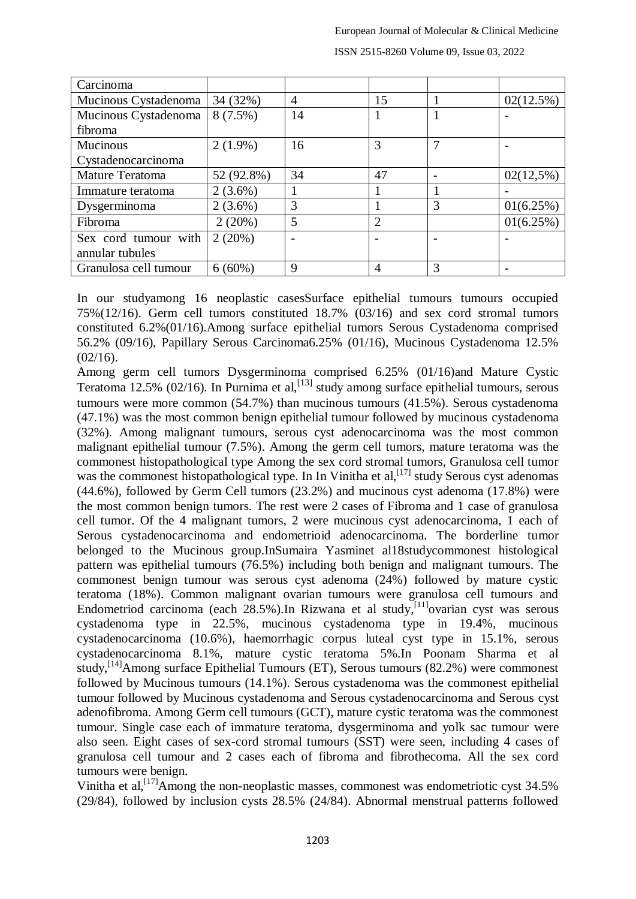| Carcinoma             |            |                |                |   |              |
|-----------------------|------------|----------------|----------------|---|--------------|
| Mucinous Cystadenoma  | 34 (32%)   | $\overline{4}$ | 15             |   | 02(12.5%)    |
| Mucinous Cystadenoma  | $8(7.5\%)$ | 14             |                |   |              |
| fibroma               |            |                |                |   |              |
| <b>Mucinous</b>       | $2(1.9\%)$ | 16             | 3              |   |              |
| Cystadenocarcinoma    |            |                |                |   |              |
| Mature Teratoma       | 52 (92.8%) | 34             | 47             |   | $02(12,5\%)$ |
| Immature teratoma     | $2(3.6\%)$ |                |                |   |              |
| Dysgerminoma          | $2(3.6\%)$ | 3              |                | 3 | 01(6.25%)    |
| Fibroma               | 2(20%)     | 5              | $\overline{2}$ |   | 01(6.25%)    |
| Sex cord tumour with  | 2(20%)     |                |                |   |              |
| annular tubules       |            |                |                |   |              |
| Granulosa cell tumour | $6(60\%)$  | 9              | 4              | 3 |              |

ISSN 2515-8260 Volume 09, Issue 03, 2022

In our studyamong 16 neoplastic casesSurface epithelial tumours tumours occupied 75%(12/16). Germ cell tumors constituted 18.7% (03/16) and sex cord stromal tumors constituted 6.2%(01/16).Among surface epithelial tumors Serous Cystadenoma comprised 56.2% (09/16), Papillary Serous Carcinoma6.25% (01/16), Mucinous Cystadenoma 12.5%  $(02/16)$ .

Among germ cell tumors Dysgerminoma comprised 6.25% (01/16)and Mature Cystic Teratoma 12.5% (02/16). In Purnima et al,<sup>[13]</sup> study among surface epithelial tumours, serous tumours were more common (54.7%) than mucinous tumours (41.5%). Serous cystadenoma (47.1%) was the most common benign epithelial tumour followed by mucinous cystadenoma (32%). Among malignant tumours, serous cyst adenocarcinoma was the most common malignant epithelial tumour (7.5%). Among the germ cell tumors, mature teratoma was the commonest histopathological type Among the sex cord stromal tumors, Granulosa cell tumor was the commonest histopathological type. In In Vinitha et al,<sup>[17]</sup> study Serous cyst adenomas (44.6%), followed by Germ Cell tumors (23.2%) and mucinous cyst adenoma (17.8%) were the most common benign tumors. The rest were 2 cases of Fibroma and 1 case of granulosa cell tumor. Of the 4 malignant tumors, 2 were mucinous cyst adenocarcinoma, 1 each of Serous cystadenocarcinoma and endometrioid adenocarcinoma. The borderline tumor belonged to the Mucinous group.InSumaira Yasminet al18studycommonest histological pattern was epithelial tumours (76.5%) including both benign and malignant tumours. The commonest benign tumour was serous cyst adenoma (24%) followed by mature cystic teratoma (18%). Common malignant ovarian tumours were granulosa cell tumours and Endometriod carcinoma (each  $28.5\%$ ). In Rizwana et al study, [11] ovarian cyst was serous cystadenoma type in 22.5%, mucinous cystadenoma type in 19.4%, mucinous cystadenocarcinoma (10.6%), haemorrhagic corpus luteal cyst type in 15.1%, serous cystadenocarcinoma 8.1%, mature cystic teratoma 5%.In Poonam Sharma et al study, [14]Among surface Epithelial Tumours (ET), Serous tumours (82.2%) were commonest followed by Mucinous tumours (14.1%). Serous cystadenoma was the commonest epithelial tumour followed by Mucinous cystadenoma and Serous cystadenocarcinoma and Serous cyst adenofibroma. Among Germ cell tumours (GCT), mature cystic teratoma was the commonest tumour. Single case each of immature teratoma, dysgerminoma and yolk sac tumour were also seen. Eight cases of sex-cord stromal tumours (SST) were seen, including 4 cases of granulosa cell tumour and 2 cases each of fibroma and fibrothecoma. All the sex cord tumours were benign.

Vinitha et al,<sup>[17]</sup>Among the non-neoplastic masses, commonest was endometriotic cyst 34.5% (29/84), followed by inclusion cysts 28.5% (24/84). Abnormal menstrual patterns followed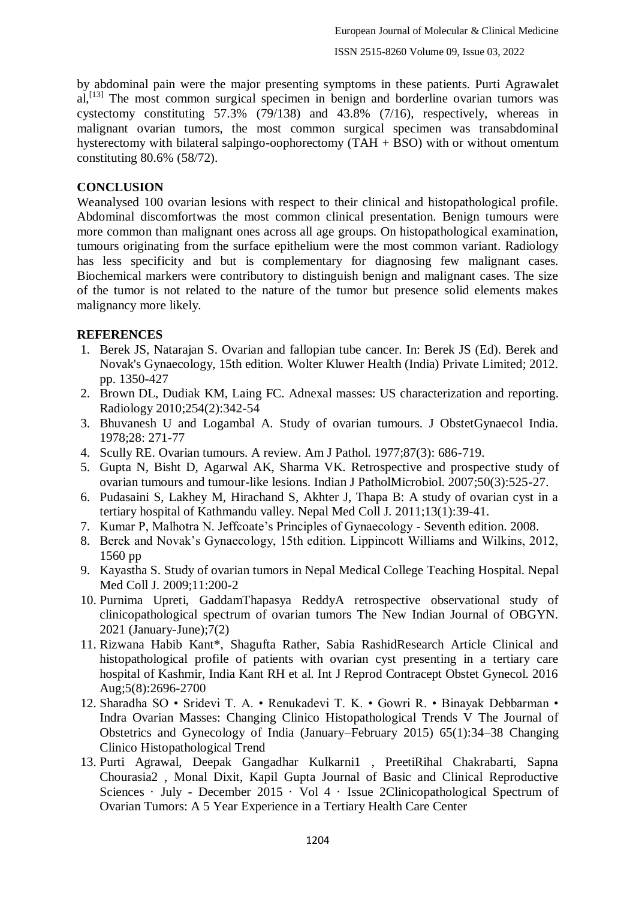by abdominal pain were the major presenting symptoms in these patients. Purti Agrawalet al,<sup>[13]</sup> The most common surgical specimen in benign and borderline ovarian tumors was cystectomy constituting 57.3% (79/138) and 43.8% (7/16), respectively, whereas in malignant ovarian tumors, the most common surgical specimen was transabdominal hysterectomy with bilateral salpingo-oophorectomy (TAH + BSO) with or without omentum constituting 80.6% (58/72).

#### **CONCLUSION**

Weanalysed 100 ovarian lesions with respect to their clinical and histopathological profile. Abdominal discomfortwas the most common clinical presentation. Benign tumours were more common than malignant ones across all age groups. On histopathological examination, tumours originating from the surface epithelium were the most common variant. Radiology has less specificity and but is complementary for diagnosing few malignant cases. Biochemical markers were contributory to distinguish benign and malignant cases. The size of the tumor is not related to the nature of the tumor but presence solid elements makes malignancy more likely.

#### **REFERENCES**

- 1. Berek JS, Natarajan S. Ovarian and fallopian tube cancer. In: Berek JS (Ed). Berek and Novak's Gynaecology, 15th edition. Wolter Kluwer Health (India) Private Limited; 2012. pp. 1350-427
- 2. Brown DL, Dudiak KM, Laing FC. Adnexal masses: US characterization and reporting. Radiology 2010;254(2):342-54
- 3. Bhuvanesh U and Logambal A. Study of ovarian tumours. J ObstetGynaecol India. 1978;28: 271-77
- 4. Scully RE. Ovarian tumours. A review. Am J Pathol. 1977;87(3): 686-719.
- 5. Gupta N, Bisht D, Agarwal AK, Sharma VK. Retrospective and prospective study of ovarian tumours and tumour-like lesions. Indian J PatholMicrobiol. 2007;50(3):525-27.
- 6. Pudasaini S, Lakhey M, Hirachand S, Akhter J, Thapa B: A study of ovarian cyst in a tertiary hospital of Kathmandu valley. Nepal Med Coll J. 2011;13(1):39-41.
- 7. Kumar P, Malhotra N. Jeffcoate's Principles of Gynaecology Seventh edition. 2008.
- 8. Berek and Novak's Gynaecology, 15th edition. Lippincott Williams and Wilkins, 2012, 1560 pp
- 9. Kayastha S. Study of ovarian tumors in Nepal Medical College Teaching Hospital. Nepal Med Coll J. 2009;11:200-2
- 10. Purnima Upreti, GaddamThapasya ReddyA retrospective observational study of clinicopathological spectrum of ovarian tumors The New Indian Journal of OBGYN. 2021 (January-June);7(2)
- 11. Rizwana Habib Kant\*, Shagufta Rather, Sabia RashidResearch Article Clinical and histopathological profile of patients with ovarian cyst presenting in a tertiary care hospital of Kashmir, India Kant RH et al. Int J Reprod Contracept Obstet Gynecol. 2016 Aug;5(8):2696-2700
- 12. Sharadha SO Sridevi T. A. Renukadevi T. K. Gowri R. Binayak Debbarman Indra Ovarian Masses: Changing Clinico Histopathological Trends V The Journal of Obstetrics and Gynecology of India (January–February 2015) 65(1):34–38 Changing Clinico Histopathological Trend
- 13. Purti Agrawal, Deepak Gangadhar Kulkarni1 , PreetiRihal Chakrabarti, Sapna Chourasia2 , Monal Dixit, Kapil Gupta Journal of Basic and Clinical Reproductive Sciences  $\cdot$  July - December 2015  $\cdot$  Vol 4  $\cdot$  Issue 2Clinicopathological Spectrum of Ovarian Tumors: A 5 Year Experience in a Tertiary Health Care Center